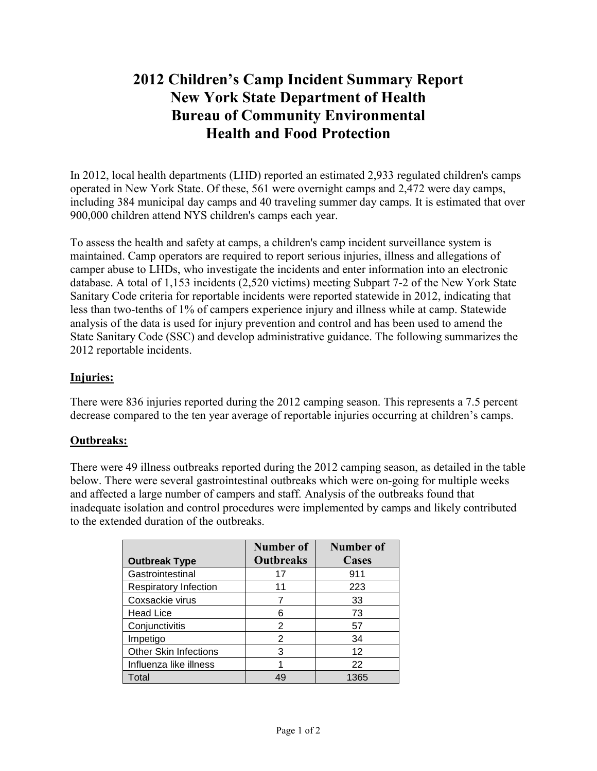# **2012 Children's Camp Incident Summary Report New York State Department of Health Bureau of Community Environmental Health and Food Protection**

In 2012, local health departments (LHD) reported an estimated 2,933 regulated children's camps operated in New York State. Of these, 561 were overnight camps and 2,472 were day camps, including 384 municipal day camps and 40 traveling summer day camps. It is estimated that over 900,000 children attend NYS children's camps each year.

To assess the health and safety at camps, a children's camp incident surveillance system is maintained. Camp operators are required to report serious injuries, illness and allegations of camper abuse to LHDs, who investigate the incidents and enter information into an electronic database. A total of 1,153 incidents (2,520 victims) meeting Subpart 7-2 of the New York State Sanitary Code criteria for reportable incidents were reported statewide in 2012, indicating that less than two-tenths of 1% of campers experience injury and illness while at camp. Statewide analysis of the data is used for injury prevention and control and has been used to amend the State Sanitary Code (SSC) and develop administrative guidance. The following summarizes the 2012 reportable incidents.

## **Injuries:**

There were 836 injuries reported during the 2012 camping season. This represents a 7.5 percent decrease compared to the ten year average of reportable injuries occurring at children's camps.

## **Outbreaks:**

There were 49 illness outbreaks reported during the 2012 camping season, as detailed in the table below. There were several gastrointestinal outbreaks which were on-going for multiple weeks and affected a large number of campers and staff. Analysis of the outbreaks found that inadequate isolation and control procedures were implemented by camps and likely contributed to the extended duration of the outbreaks.

|                              | Number of        | <b>Number of</b> |
|------------------------------|------------------|------------------|
| <b>Outbreak Type</b>         | <b>Outbreaks</b> | <b>Cases</b>     |
| Gastrointestinal             | 17               | 911              |
| <b>Respiratory Infection</b> | 11               | 223              |
| Coxsackie virus              |                  | 33               |
| <b>Head Lice</b>             | 6                | 73               |
| Conjunctivitis               | 2                | 57               |
| Impetigo                     | 2                | 34               |
| <b>Other Skin Infections</b> | 3                | 12               |
| Influenza like illness       |                  | 22               |
| Total                        | 49               | 1365             |